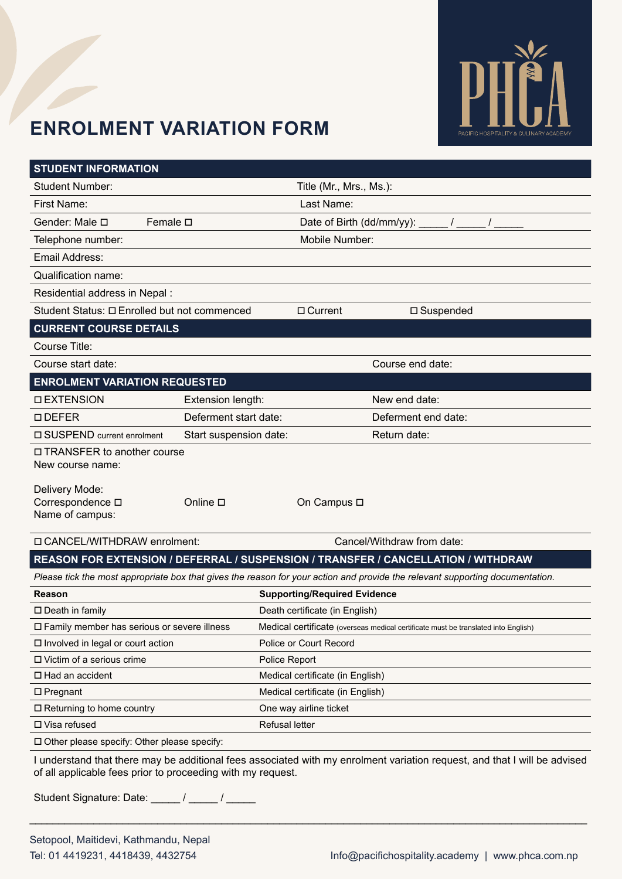

## **Enrolment Variation Form**

| <b>STUDENT INFORMATION</b>                                                                                                    |                        |                                                                                    |                                                                                   |  |  |  |  |
|-------------------------------------------------------------------------------------------------------------------------------|------------------------|------------------------------------------------------------------------------------|-----------------------------------------------------------------------------------|--|--|--|--|
| <b>Student Number:</b>                                                                                                        |                        |                                                                                    | Title (Mr., Mrs., Ms.):                                                           |  |  |  |  |
| <b>First Name:</b>                                                                                                            |                        | Last Name:                                                                         |                                                                                   |  |  |  |  |
| Gender: Male □                                                                                                                | Female $\square$       |                                                                                    | Date of Birth (dd/mm/yy): _____ / _____                                           |  |  |  |  |
| Telephone number:                                                                                                             |                        | Mobile Number:                                                                     |                                                                                   |  |  |  |  |
| <b>Email Address:</b>                                                                                                         |                        |                                                                                    |                                                                                   |  |  |  |  |
| Qualification name:                                                                                                           |                        |                                                                                    |                                                                                   |  |  |  |  |
| Residential address in Nepal :                                                                                                |                        |                                                                                    |                                                                                   |  |  |  |  |
| Student Status: □ Enrolled but not commenced                                                                                  |                        | □ Current                                                                          | □ Suspended                                                                       |  |  |  |  |
| <b>CURRENT COURSE DETAILS</b>                                                                                                 |                        |                                                                                    |                                                                                   |  |  |  |  |
| Course Title:                                                                                                                 |                        |                                                                                    |                                                                                   |  |  |  |  |
| Course start date:                                                                                                            |                        |                                                                                    | Course end date:                                                                  |  |  |  |  |
| <b>ENROLMENT VARIATION REQUESTED</b>                                                                                          |                        |                                                                                    |                                                                                   |  |  |  |  |
| <b>DEXTENSION</b>                                                                                                             | Extension length:      |                                                                                    | New end date:                                                                     |  |  |  |  |
| $\Box$ DEFER                                                                                                                  | Deferment start date:  |                                                                                    | Deferment end date:                                                               |  |  |  |  |
| □ SUSPEND current enrolment                                                                                                   | Start suspension date: |                                                                                    | Return date:                                                                      |  |  |  |  |
| □ TRANSFER to another course<br>New course name:                                                                              |                        |                                                                                    |                                                                                   |  |  |  |  |
| Delivery Mode:<br>Correspondence $\square$<br>Name of campus:                                                                 | Online <sub>D</sub>    | On Campus □                                                                        |                                                                                   |  |  |  |  |
| □ CANCEL/WITHDRAW enrolment:                                                                                                  |                        |                                                                                    | Cancel/Withdraw from date:                                                        |  |  |  |  |
|                                                                                                                               |                        |                                                                                    | REASON FOR EXTENSION / DEFERRAL / SUSPENSION / TRANSFER / CANCELLATION / WITHDRAW |  |  |  |  |
| Please tick the most appropriate box that gives the reason for your action and provide the relevant supporting documentation. |                        |                                                                                    |                                                                                   |  |  |  |  |
| Reason                                                                                                                        |                        | <b>Supporting/Required Evidence</b>                                                |                                                                                   |  |  |  |  |
| $\square$ Death in family                                                                                                     |                        | Death certificate (in English)                                                     |                                                                                   |  |  |  |  |
| □ Family member has serious or severe illness                                                                                 |                        | Medical certificate (overseas medical certificate must be translated into English) |                                                                                   |  |  |  |  |
| $\Box$ Involved in legal or court action                                                                                      |                        | Police or Court Record                                                             |                                                                                   |  |  |  |  |
| □ Victim of a serious crime                                                                                                   |                        | Police Report                                                                      |                                                                                   |  |  |  |  |
| □ Had an accident                                                                                                             |                        | Medical certificate (in English)                                                   |                                                                                   |  |  |  |  |
| $\square$ Pregnant                                                                                                            |                        | Medical certificate (in English)                                                   |                                                                                   |  |  |  |  |
| $\Box$ Returning to home country                                                                                              |                        | One way airline ticket                                                             |                                                                                   |  |  |  |  |
| □ Visa refused                                                                                                                |                        | <b>Refusal letter</b>                                                              |                                                                                   |  |  |  |  |
| □ Other please specify: Other please specify:                                                                                 |                        |                                                                                    |                                                                                   |  |  |  |  |

I understand that there may be additional fees associated with my enrolment variation request, and that I will be advised of all applicable fees prior to proceeding with my request.

\_\_\_\_\_\_\_\_\_\_\_\_\_\_\_\_\_\_\_\_\_\_\_\_\_\_\_\_\_\_\_\_\_\_\_\_\_\_\_\_\_\_\_\_\_\_\_\_\_\_\_\_\_\_\_\_\_\_\_\_\_\_\_\_\_\_\_\_\_\_\_\_\_\_\_\_\_\_\_\_\_\_\_\_\_\_\_\_\_\_\_\_\_\_\_\_

Student Signature: Date: \_\_\_\_\_ / \_\_\_\_\_ / \_\_\_\_\_